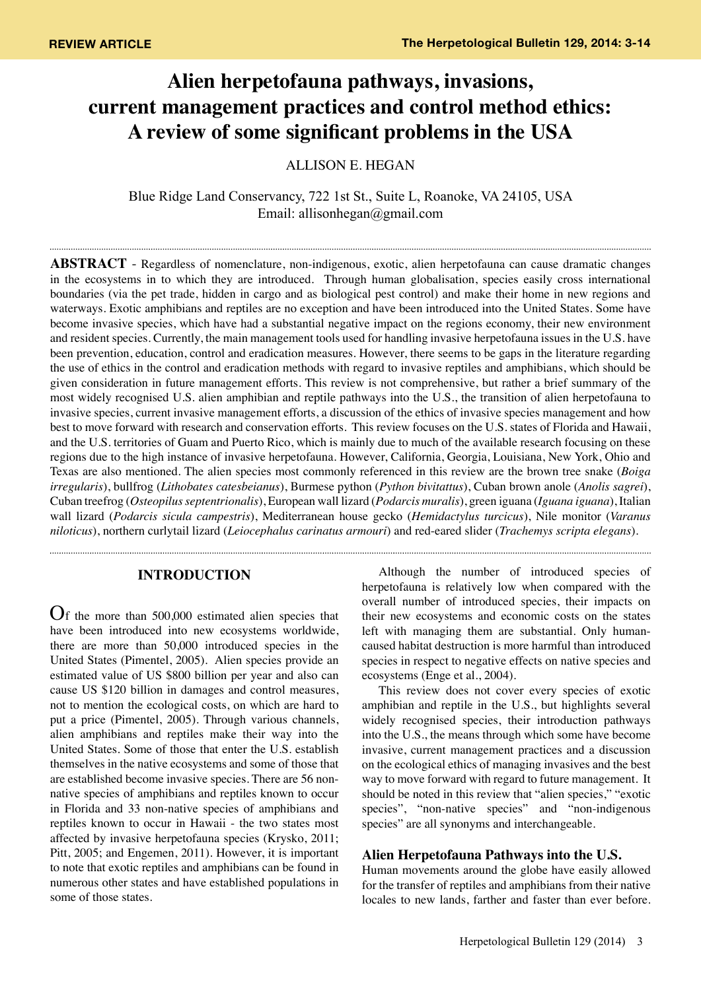# **Alien herpetofauna pathways, invasions, current management practices and control method ethics: A review of some significant problems in the USA**

ALLISON E. HEGAN

Blue Ridge Land Conservancy, 722 1st St., Suite L, Roanoke, VA 24105, USA Email: allisonhegan@gmail.com

**Abstract** - Regardless of nomenclature, non-indigenous, exotic, alien herpetofauna can cause dramatic changes in the ecosystems in to which they are introduced. Through human globalisation, species easily cross international boundaries (via the pet trade, hidden in cargo and as biological pest control) and make their home in new regions and waterways. Exotic amphibians and reptiles are no exception and have been introduced into the United States. Some have become invasive species, which have had a substantial negative impact on the regions economy, their new environment and resident species. Currently, the main management tools used for handling invasive herpetofauna issues in the U.S. have been prevention, education, control and eradication measures. However, there seems to be gaps in the literature regarding the use of ethics in the control and eradication methods with regard to invasive reptiles and amphibians, which should be given consideration in future management efforts. This review is not comprehensive, but rather a brief summary of the most widely recognised U.S. alien amphibian and reptile pathways into the U.S., the transition of alien herpetofauna to invasive species, current invasive management efforts, a discussion of the ethics of invasive species management and how best to move forward with research and conservation efforts. This review focuses on the U.S. states of Florida and Hawaii, and the U.S. territories of Guam and Puerto Rico, which is mainly due to much of the available research focusing on these regions due to the high instance of invasive herpetofauna. However, California, Georgia, Louisiana, New York, Ohio and Texas are also mentioned. The alien species most commonly referenced in this review are the brown tree snake (*Boiga irregularis*), bullfrog (*Lithobates catesbeianus*), Burmese python (*Python bivitattus*), Cuban brown anole (*Anolis sagrei*), Cuban treefrog (*Osteopilus septentrionalis*), European wall lizard (*Podarcis muralis*), green iguana (*Iguana iguana*), Italian wall lizard (*Podarcis sicula campestris*), Mediterranean house gecko (*Hemidactylus turcicus*), Nile monitor (*Varanus niloticus*), northern curlytail lizard (*Leiocephalus carinatus armouri*) and red-eared slider (*Trachemys scripta elegans*).

# **INTRODUCTION**

Of the more than 500,000 estimated alien species that have been introduced into new ecosystems worldwide, there are more than 50,000 introduced species in the United States (Pimentel, 2005). Alien species provide an estimated value of US \$800 billion per year and also can cause US \$120 billion in damages and control measures, not to mention the ecological costs, on which are hard to put a price (Pimentel, 2005). Through various channels, alien amphibians and reptiles make their way into the United States. Some of those that enter the U.S. establish themselves in the native ecosystems and some of those that are established become invasive species. There are 56 nonnative species of amphibians and reptiles known to occur in Florida and 33 non-native species of amphibians and reptiles known to occur in Hawaii - the two states most affected by invasive herpetofauna species (Krysko, 2011; Pitt, 2005; and Engemen, 2011). However, it is important to note that exotic reptiles and amphibians can be found in numerous other states and have established populations in some of those states.

Although the number of introduced species of herpetofauna is relatively low when compared with the overall number of introduced species, their impacts on their new ecosystems and economic costs on the states left with managing them are substantial. Only humancaused habitat destruction is more harmful than introduced species in respect to negative effects on native species and

ecosystems (Enge et al., 2004).

This review does not cover every species of exotic amphibian and reptile in the U.S., but highlights several widely recognised species, their introduction pathways into the U.S., the means through which some have become invasive, current management practices and a discussion on the ecological ethics of managing invasives and the best way to move forward with regard to future management. It should be noted in this review that "alien species," "exotic species", "non-native species" and "non-indigenous species" are all synonyms and interchangeable.

# **Alien Herpetofauna Pathways into the U.S.**

Human movements around the globe have easily allowed for the transfer of reptiles and amphibians from their native locales to new lands, farther and faster than ever before.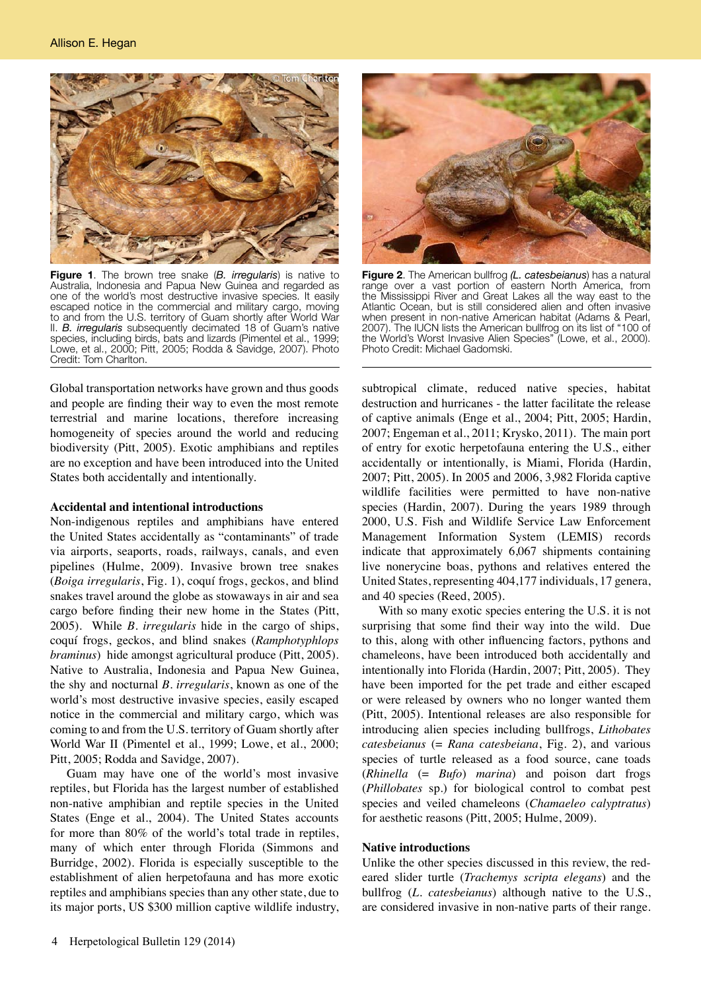

**Figure 1**. The brown tree snake (*B. irregularis*) is native to Australia, Indonesia and Papua New Guinea and regarded as one of the world's most destructive invasive species. It easily escaped notice in the commercial and military cargo, moving to and from the U.S. territory of Guam shortly after World War II. *B. irregularis* subsequently decimated 18 of Guam's native species, including birds, bats and lizards (Pimentel et al., 1999; Lowe, et al., 2000; Pitt, 2005; Rodda & Savidge, 2007). Photo Credit: Tom Charlton.

Global transportation networks have grown and thus goods and people are finding their way to even the most remote terrestrial and marine locations, therefore increasing homogeneity of species around the world and reducing biodiversity (Pitt, 2005). Exotic amphibians and reptiles are no exception and have been introduced into the United States both accidentally and intentionally.

# **Accidental and intentional introductions**

Non-indigenous reptiles and amphibians have entered the United States accidentally as "contaminants" of trade via airports, seaports, roads, railways, canals, and even pipelines (Hulme, 2009). Invasive brown tree snakes (*Boiga irregularis*, Fig. 1), coquí frogs, geckos, and blind snakes travel around the globe as stowaways in air and sea cargo before finding their new home in the States (Pitt, 2005). While *B. irregularis* hide in the cargo of ships, coquí frogs, geckos, and blind snakes (*Ramphotyphlops braminus*) hide amongst agricultural produce (Pitt, 2005). Native to Australia, Indonesia and Papua New Guinea, the shy and nocturnal *B. irregularis*, known as one of the world's most destructive invasive species, easily escaped notice in the commercial and military cargo, which was coming to and from the U.S. territory of Guam shortly after World War II (Pimentel et al., 1999; Lowe, et al., 2000; Pitt, 2005; Rodda and Savidge, 2007).

Guam may have one of the world's most invasive reptiles, but Florida has the largest number of established non-native amphibian and reptile species in the United States (Enge et al., 2004). The United States accounts for more than 80% of the world's total trade in reptiles, many of which enter through Florida (Simmons and Burridge, 2002). Florida is especially susceptible to the establishment of alien herpetofauna and has more exotic reptiles and amphibians species than any other state, due to its major ports, US \$300 million captive wildlife industry,



**Figure 2**. The American bullfrog *(L. catesbeianus*) has a natural range over a vast portion of eastern North America, from the Mississippi River and Great Lakes all the way east to the Atlantic Ocean, but is still considered alien and often invasive when present in non-native American habitat (Adams & Pearl, 2007). The IUCN lists the American bullfrog on its list of "100 of the World's Worst Invasive Alien Species" (Lowe, et al., 2000). Photo Credit: Michael Gadomski.

subtropical climate, reduced native species, habitat destruction and hurricanes - the latter facilitate the release of captive animals (Enge et al., 2004; Pitt, 2005; Hardin, 2007; Engeman et al., 2011; Krysko, 2011). The main port of entry for exotic herpetofauna entering the U.S., either accidentally or intentionally, is Miami, Florida (Hardin, 2007; Pitt, 2005). In 2005 and 2006, 3,982 Florida captive wildlife facilities were permitted to have non-native species (Hardin, 2007). During the years 1989 through 2000, U.S. Fish and Wildlife Service Law Enforcement Management Information System (LEMIS) records indicate that approximately 6,067 shipments containing live nonerycine boas, pythons and relatives entered the United States, representing 404,177 individuals, 17 genera, and 40 species (Reed, 2005).

With so many exotic species entering the U.S. it is not surprising that some find their way into the wild. Due to this, along with other influencing factors, pythons and chameleons, have been introduced both accidentally and intentionally into Florida (Hardin, 2007; Pitt, 2005). They have been imported for the pet trade and either escaped or were released by owners who no longer wanted them (Pitt, 2005). Intentional releases are also responsible for introducing alien species including bullfrogs, *Lithobates catesbeianus* (= *Rana catesbeiana*, Fig. 2), and various species of turtle released as a food source, cane toads (*Rhinella* (= *Bufo*) *marina*) and poison dart frogs (*Phillobates* sp.) for biological control to combat pest species and veiled chameleons (*Chamaeleo calyptratus*) for aesthetic reasons (Pitt, 2005; Hulme, 2009).

# **Native introductions**

Unlike the other species discussed in this review, the redeared slider turtle (*Trachemys scripta elegans*) and the bullfrog (*L. catesbeianus*) although native to the U.S., are considered invasive in non-native parts of their range.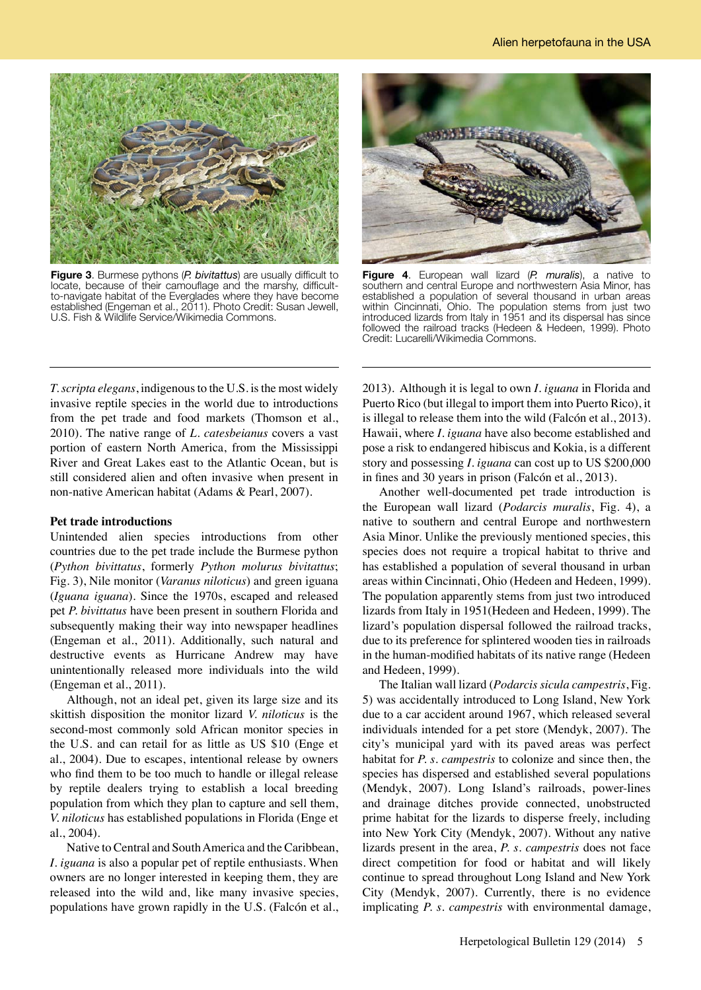

**Figure 3**. Burmese pythons (*P. bivitattus*) are usually difficult to locate, because of their camouflage and the marshy, difficultto-navigate habitat of the Everglades where they have become established (Engeman et al., 2011). Photo Credit: Susan Jewell, U.S. Fish & Wildlife Service/Wikimedia Commons.



**Figure 4**. European wall lizard (*P. muralis*), a native to southern and central Europe and northwestern Asia Minor, has established a population of several thousand in urban areas within Cincinnati, Ohio. The population stems from just two introduced lizards from Italy in 1951 and its dispersal has since followed the railroad tracks (Hedeen & Hedeen, 1999). Photo Credit: Lucarelli/Wikimedia Commons.

*T. scripta elegans*, indigenous to the U.S. is the most widely invasive reptile species in the world due to introductions from the pet trade and food markets (Thomson et al., 2010). The native range of *L. catesbeianus* covers a vast portion of eastern North America, from the Mississippi River and Great Lakes east to the Atlantic Ocean, but is still considered alien and often invasive when present in non-native American habitat (Adams & Pearl, 2007).

#### **Pet trade introductions**

Unintended alien species introductions from other countries due to the pet trade include the Burmese python (*Python bivittatus*, formerly *Python molurus bivitattus*; Fig. 3), Nile monitor (*Varanus niloticus*) and green iguana (*Iguana iguana*). Since the 1970s, escaped and released pet *P. bivittatus* have been present in southern Florida and subsequently making their way into newspaper headlines (Engeman et al., 2011). Additionally, such natural and destructive events as Hurricane Andrew may have unintentionally released more individuals into the wild (Engeman et al., 2011).

Although, not an ideal pet, given its large size and its skittish disposition the monitor lizard *V. niloticus* is the second-most commonly sold African monitor species in the U.S. and can retail for as little as US \$10 (Enge et al., 2004). Due to escapes, intentional release by owners who find them to be too much to handle or illegal release by reptile dealers trying to establish a local breeding population from which they plan to capture and sell them, *V. niloticus* has established populations in Florida (Enge et al., 2004).

Native to Central and South America and the Caribbean, *I. iguana* is also a popular pet of reptile enthusiasts. When owners are no longer interested in keeping them, they are released into the wild and, like many invasive species, populations have grown rapidly in the U.S. (Falcón et al.,

2013). Although it is legal to own *I. iguana* in Florida and Puerto Rico (but illegal to import them into Puerto Rico), it is illegal to release them into the wild (Falcón et al., 2013). Hawaii, where *I. iguana* have also become established and pose a risk to endangered hibiscus and Kokia, is a different story and possessing *I. iguana* can cost up to US \$200,000 in fines and 30 years in prison (Falcón et al., 2013).

Another well-documented pet trade introduction is the European wall lizard (*Podarcis muralis*, Fig. 4), a native to southern and central Europe and northwestern Asia Minor. Unlike the previously mentioned species, this species does not require a tropical habitat to thrive and has established a population of several thousand in urban areas within Cincinnati, Ohio (Hedeen and Hedeen, 1999). The population apparently stems from just two introduced lizards from Italy in 1951(Hedeen and Hedeen, 1999). The lizard's population dispersal followed the railroad tracks, due to its preference for splintered wooden ties in railroads in the human-modified habitats of its native range (Hedeen and Hedeen, 1999).

The Italian wall lizard (*Podarcis sicula campestris*, Fig. 5) was accidentally introduced to Long Island, New York due to a car accident around 1967, which released several individuals intended for a pet store (Mendyk, 2007). The city's municipal yard with its paved areas was perfect habitat for *P. s. campestris* to colonize and since then, the species has dispersed and established several populations (Mendyk, 2007). Long Island's railroads, power-lines and drainage ditches provide connected, unobstructed prime habitat for the lizards to disperse freely, including into New York City (Mendyk, 2007). Without any native lizards present in the area, *P. s. campestris* does not face direct competition for food or habitat and will likely continue to spread throughout Long Island and New York City (Mendyk, 2007). Currently, there is no evidence implicating *P. s. campestris* with environmental damage,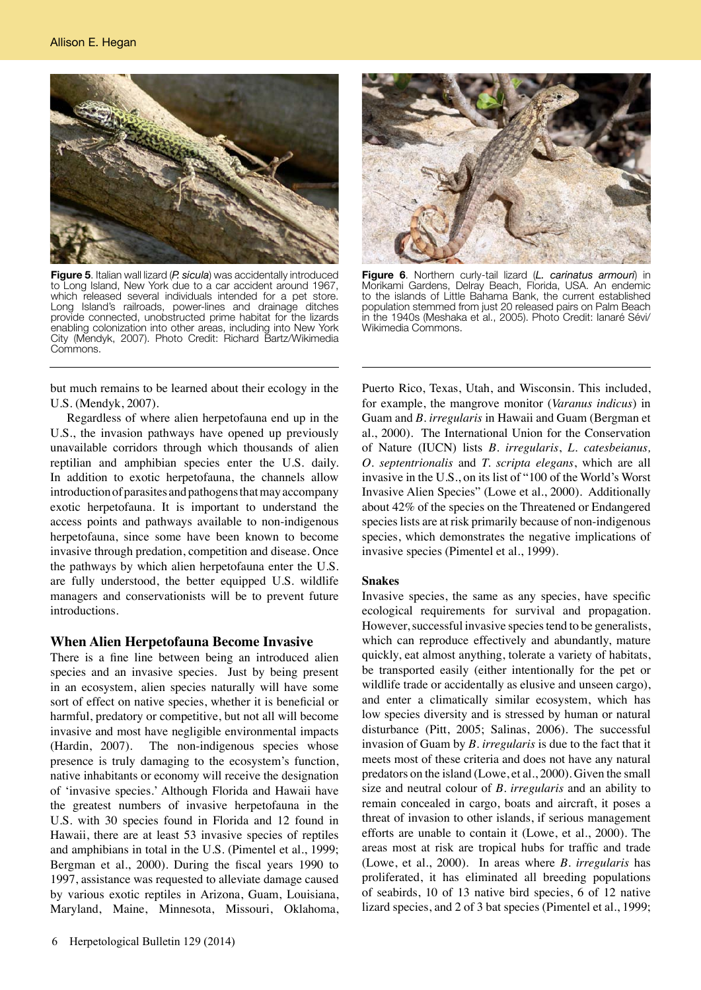

**Figure 5**. Italian wall lizard (*P. sicula*) was accidentally introduced to Long Island, New York due to a car accident around 1967, which released several individuals intended for a pet store. Long Island's railroads, power-lines and drainage ditches provide connected, unobstructed prime habitat for the lizards enabling colonization into other areas, including into New York City (Mendyk, 2007). Photo Credit: Richard Bartz/Wikimedia Commons.

but much remains to be learned about their ecology in the U.S. (Mendyk, 2007).

Regardless of where alien herpetofauna end up in the U.S., the invasion pathways have opened up previously unavailable corridors through which thousands of alien reptilian and amphibian species enter the U.S. daily. In addition to exotic herpetofauna, the channels allow introduction of parasites and pathogens that may accompany exotic herpetofauna. It is important to understand the access points and pathways available to non-indigenous herpetofauna, since some have been known to become invasive through predation, competition and disease. Once the pathways by which alien herpetofauna enter the U.S. are fully understood, the better equipped U.S. wildlife managers and conservationists will be to prevent future introductions.

# **When Alien Herpetofauna Become Invasive**

There is a fine line between being an introduced alien species and an invasive species. Just by being present in an ecosystem, alien species naturally will have some sort of effect on native species, whether it is beneficial or harmful, predatory or competitive, but not all will become invasive and most have negligible environmental impacts (Hardin, 2007). The non-indigenous species whose presence is truly damaging to the ecosystem's function, native inhabitants or economy will receive the designation of 'invasive species.' Although Florida and Hawaii have the greatest numbers of invasive herpetofauna in the U.S. with 30 species found in Florida and 12 found in Hawaii, there are at least 53 invasive species of reptiles and amphibians in total in the U.S. (Pimentel et al., 1999; Bergman et al., 2000). During the fiscal years 1990 to 1997, assistance was requested to alleviate damage caused by various exotic reptiles in Arizona, Guam, Louisiana, Maryland, Maine, Minnesota, Missouri, Oklahoma,



**Figure 6**. Northern curly-tail lizard (*L. carinatus armouri*) in Morikami Gardens, Delray Beach, Florida, USA. An endemic to the islands of Little Bahama Bank, the current established population stemmed from just 20 released pairs on Palm Beach in the 1940s (Meshaka et al., 2005). Photo Credit: Ianaré Sévi/ Wikimedia Commons.

Puerto Rico, Texas, Utah, and Wisconsin. This included, for example, the mangrove monitor (*Varanus indicus*) in Guam and *B. irregularis* in Hawaii and Guam (Bergman et al., 2000). The International Union for the Conservation of Nature (IUCN) lists *B. irregularis*, *L. catesbeianus, O. septentrionalis* and *T. scripta elegans*, which are all invasive in the U.S., on its list of "100 of the World's Worst Invasive Alien Species" (Lowe et al., 2000). Additionally about 42% of the species on the Threatened or Endangered species lists are at risk primarily because of non-indigenous species, which demonstrates the negative implications of invasive species (Pimentel et al., 1999).

#### **Snakes**

Invasive species, the same as any species, have specific ecological requirements for survival and propagation. However, successful invasive species tend to be generalists, which can reproduce effectively and abundantly, mature quickly, eat almost anything, tolerate a variety of habitats, be transported easily (either intentionally for the pet or wildlife trade or accidentally as elusive and unseen cargo), and enter a climatically similar ecosystem, which has low species diversity and is stressed by human or natural disturbance (Pitt, 2005; Salinas, 2006). The successful invasion of Guam by *B. irregularis* is due to the fact that it meets most of these criteria and does not have any natural predators on the island (Lowe, et al., 2000). Given the small size and neutral colour of *B. irregularis* and an ability to remain concealed in cargo, boats and aircraft, it poses a threat of invasion to other islands, if serious management efforts are unable to contain it (Lowe, et al., 2000). The areas most at risk are tropical hubs for traffic and trade (Lowe, et al., 2000). In areas where *B. irregularis* has proliferated, it has eliminated all breeding populations of seabirds, 10 of 13 native bird species, 6 of 12 native lizard species, and 2 of 3 bat species (Pimentel et al., 1999;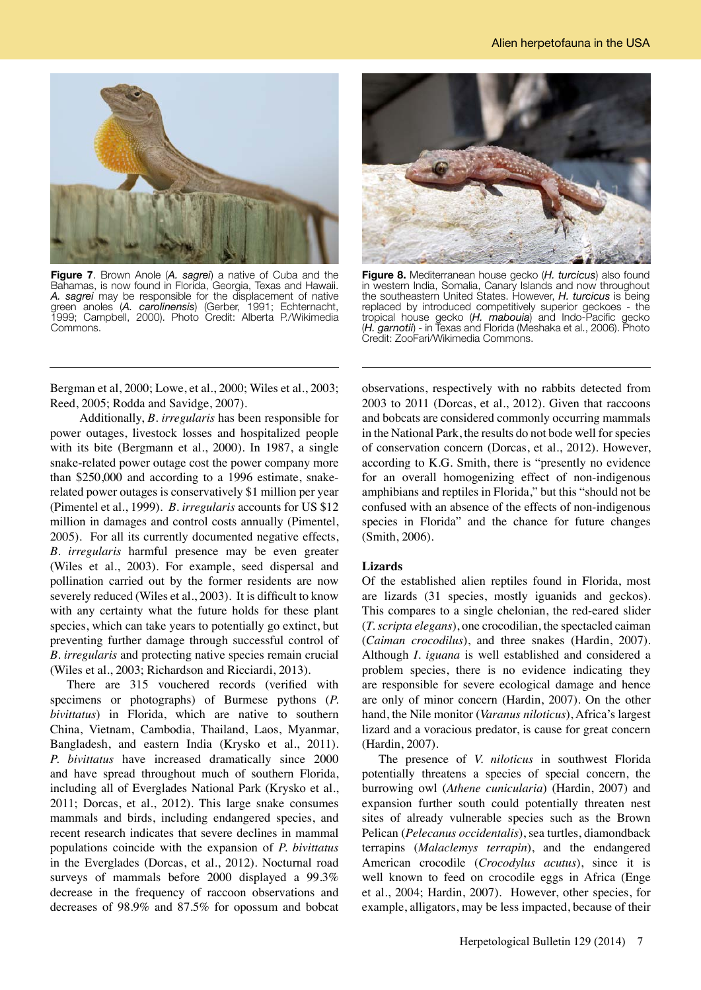

**Figure 7**. Brown Anole (*A. sagrei*) a native of Cuba and the Bahamas, is now found in Florida, Georgia, Texas and Hawaii. *A. sagrei* may be responsible for the displacement of native green anoles (*A. carolinensis*) (Gerber, 1991; Echternacht, 1999; Campbell, 2000). Photo Credit: Alberta P./Wikimedia Commons.

Bergman et al, 2000; Lowe, et al., 2000; Wiles et al., 2003; Reed, 2005; Rodda and Savidge, 2007).

 Additionally, *B. irregularis* has been responsible for power outages, livestock losses and hospitalized people with its bite (Bergmann et al., 2000). In 1987, a single snake-related power outage cost the power company more than \$250,000 and according to a 1996 estimate, snakerelated power outages is conservatively \$1 million per year (Pimentel et al., 1999). *B. irregularis* accounts for US \$12 million in damages and control costs annually (Pimentel, 2005). For all its currently documented negative effects, *B. irregularis* harmful presence may be even greater (Wiles et al., 2003). For example, seed dispersal and pollination carried out by the former residents are now severely reduced (Wiles et al., 2003). It is difficult to know with any certainty what the future holds for these plant species, which can take years to potentially go extinct, but preventing further damage through successful control of *B. irregularis* and protecting native species remain crucial (Wiles et al., 2003; Richardson and Ricciardi, 2013).

There are 315 vouchered records (verified with specimens or photographs) of Burmese pythons (*P. bivittatus*) in Florida, which are native to southern China, Vietnam, Cambodia, Thailand, Laos, Myanmar, Bangladesh, and eastern India (Krysko et al., 2011). *P. bivittatus* have increased dramatically since 2000 and have spread throughout much of southern Florida, including all of Everglades National Park (Krysko et al., 2011; Dorcas, et al., 2012). This large snake consumes mammals and birds, including endangered species, and recent research indicates that severe declines in mammal populations coincide with the expansion of *P. bivittatus* in the Everglades (Dorcas, et al., 2012). Nocturnal road surveys of mammals before 2000 displayed a 99.3% decrease in the frequency of raccoon observations and decreases of 98.9% and 87.5% for opossum and bobcat



**Figure 8.** Mediterranean house gecko (*H. turcicus*) also found in western India, Somalia, Canary Islands and now throughout the southeastern United States. However, *H. turcicus* is being replaced by introduced competitively superior geckoes - the tropical house gecko (*H. mabouia*) and Indo-Pacific gecko (*H. garnotii*) - in Texas and Florida (Meshaka et al., 2006). Photo Credit: ZooFari/Wikimedia Commons.

observations, respectively with no rabbits detected from 2003 to 2011 (Dorcas, et al., 2012). Given that raccoons and bobcats are considered commonly occurring mammals in the National Park, the results do not bode well for species of conservation concern (Dorcas, et al., 2012). However, according to K.G. Smith, there is "presently no evidence for an overall homogenizing effect of non-indigenous amphibians and reptiles in Florida," but this "should not be confused with an absence of the effects of non-indigenous species in Florida" and the chance for future changes (Smith, 2006).

# **Lizards**

Of the established alien reptiles found in Florida, most are lizards (31 species, mostly iguanids and geckos). This compares to a single chelonian, the red-eared slider (*T. scripta elegans*), one crocodilian, the spectacled caiman (*Caiman crocodilus*), and three snakes (Hardin, 2007). Although *I. iguana* is well established and considered a problem species, there is no evidence indicating they are responsible for severe ecological damage and hence are only of minor concern (Hardin, 2007). On the other hand, the Nile monitor (*Varanus niloticus*), Africa's largest lizard and a voracious predator, is cause for great concern (Hardin, 2007).

The presence of *V. niloticus* in southwest Florida potentially threatens a species of special concern, the burrowing owl (*Athene cunicularia*) (Hardin, 2007) and expansion further south could potentially threaten nest sites of already vulnerable species such as the Brown Pelican (*Pelecanus occidentalis*), sea turtles, diamondback terrapins (*Malaclemys terrapin*), and the endangered American crocodile (*Crocodylus acutus*), since it is well known to feed on crocodile eggs in Africa (Enge et al., 2004; Hardin, 2007). However, other species, for example, alligators, may be less impacted, because of their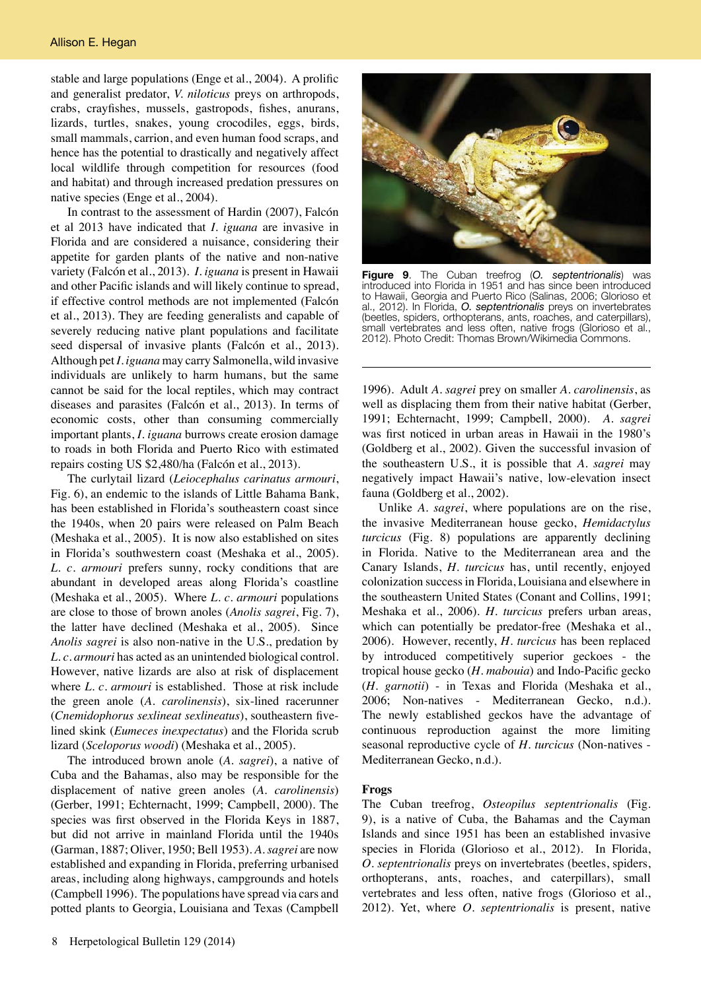stable and large populations (Enge et al., 2004). A prolific and generalist predator, *V. niloticus* preys on arthropods, crabs, crayfishes, mussels, gastropods, fishes, anurans, lizards, turtles, snakes, young crocodiles, eggs, birds, small mammals, carrion, and even human food scraps, and hence has the potential to drastically and negatively affect local wildlife through competition for resources (food and habitat) and through increased predation pressures on native species (Enge et al., 2004).

In contrast to the assessment of Hardin (2007), Falcón et al 2013 have indicated that *I. iguana* are invasive in Florida and are considered a nuisance, considering their appetite for garden plants of the native and non-native variety (Falcón et al., 2013). *I. iguana* is present in Hawaii and other Pacific islands and will likely continue to spread, if effective control methods are not implemented (Falcón et al., 2013). They are feeding generalists and capable of severely reducing native plant populations and facilitate seed dispersal of invasive plants (Falcón et al., 2013). Although pet *I. iguana* may carry Salmonella, wild invasive individuals are unlikely to harm humans, but the same cannot be said for the local reptiles, which may contract diseases and parasites (Falcón et al., 2013). In terms of economic costs, other than consuming commercially important plants, *I. iguana* burrows create erosion damage to roads in both Florida and Puerto Rico with estimated repairs costing US \$2,480/ha (Falcón et al., 2013).

The curlytail lizard (*Leiocephalus carinatus armouri*, Fig. 6), an endemic to the islands of Little Bahama Bank, has been established in Florida's southeastern coast since the 1940s, when 20 pairs were released on Palm Beach (Meshaka et al., 2005). It is now also established on sites in Florida's southwestern coast (Meshaka et al., 2005). *L. c. armouri* prefers sunny, rocky conditions that are abundant in developed areas along Florida's coastline (Meshaka et al., 2005). Where *L. c. armouri* populations are close to those of brown anoles (*Anolis sagrei*, Fig. 7), the latter have declined (Meshaka et al., 2005). Since *Anolis sagrei* is also non-native in the U.S., predation by *L. c. armouri* has acted as an unintended biological control. However, native lizards are also at risk of displacement where *L. c. armouri* is established. Those at risk include the green anole (*A. carolinensis*), six-lined racerunner (*Cnemidophorus sexlineat sexlineatus*), southeastern fivelined skink (*Eumeces inexpectatus*) and the Florida scrub lizard (*Sceloporus woodi*) (Meshaka et al., 2005).

The introduced brown anole (*A. sagrei*), a native of Cuba and the Bahamas, also may be responsible for the displacement of native green anoles (*A. carolinensis*) (Gerber, 1991; Echternacht, 1999; Campbell, 2000). The species was first observed in the Florida Keys in 1887, but did not arrive in mainland Florida until the 1940s (Garman, 1887; Oliver, 1950; Bell 1953). *A. sagrei* are now established and expanding in Florida, preferring urbanised areas, including along highways, campgrounds and hotels (Campbell 1996). The populations have spread via cars and potted plants to Georgia, Louisiana and Texas (Campbell



**Figure 9**. The Cuban treefrog (*O. septentrionalis*) was introduced into Florida in 1951 and has since been introduced to Hawaii, Georgia and Puerto Rico (Salinas, 2006; Glorioso et al., 2012). In Florida, *O. septentrionalis* preys on invertebrates (beetles, spiders, orthopterans, ants, roaches, and caterpillars), small vertebrates and less often, native frogs (Glorioso et al., 2012). Photo Credit: Thomas Brown/Wikimedia Commons.

1996). Adult *A. sagrei* prey on smaller *A. carolinensis*, as well as displacing them from their native habitat (Gerber, 1991; Echternacht, 1999; Campbell, 2000). *A. sagrei*  was first noticed in urban areas in Hawaii in the 1980's (Goldberg et al., 2002). Given the successful invasion of the southeastern U.S., it is possible that *A. sagrei* may negatively impact Hawaii's native, low-elevation insect fauna (Goldberg et al., 2002).

Unlike *A. sagrei*, where populations are on the rise, the invasive Mediterranean house gecko, *Hemidactylus turcicus* (Fig. 8) populations are apparently declining in Florida. Native to the Mediterranean area and the Canary Islands, *H. turcicus* has, until recently, enjoyed colonization success in Florida, Louisiana and elsewhere in the southeastern United States (Conant and Collins, 1991; Meshaka et al., 2006). *H. turcicus* prefers urban areas, which can potentially be predator-free (Meshaka et al., 2006). However, recently, *H. turcicus* has been replaced by introduced competitively superior geckoes - the tropical house gecko (*H. mabouia*) and Indo-Pacific gecko (*H. garnotii*) - in Texas and Florida (Meshaka et al., 2006; Non-natives - Mediterranean Gecko, n.d.). The newly established geckos have the advantage of continuous reproduction against the more limiting seasonal reproductive cycle of *H. turcicus* (Non-natives - Mediterranean Gecko, n.d.).

#### **Frogs**

The Cuban treefrog, *Osteopilus septentrionalis* (Fig. 9), is a native of Cuba, the Bahamas and the Cayman Islands and since 1951 has been an established invasive species in Florida (Glorioso et al., 2012). In Florida, *O. septentrionalis* preys on invertebrates (beetles, spiders, orthopterans, ants, roaches, and caterpillars), small vertebrates and less often, native frogs (Glorioso et al., 2012). Yet, where *O. septentrionalis* is present, native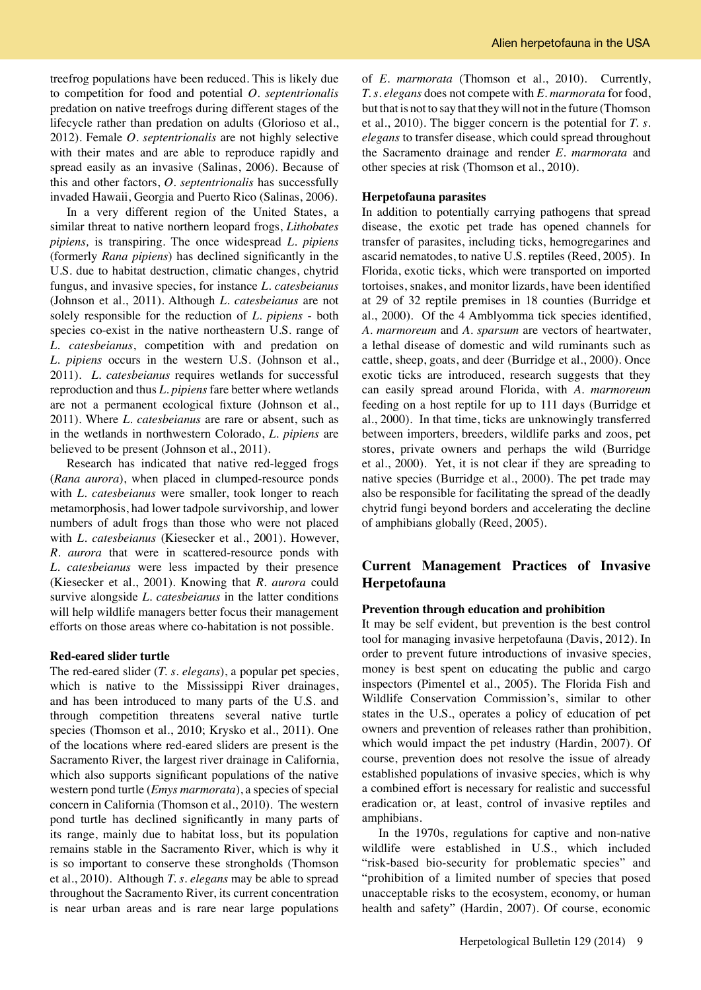treefrog populations have been reduced. This is likely due to competition for food and potential *O. septentrionalis*  predation on native treefrogs during different stages of the lifecycle rather than predation on adults (Glorioso et al., 2012). Female *O. septentrionalis* are not highly selective with their mates and are able to reproduce rapidly and spread easily as an invasive (Salinas, 2006). Because of this and other factors, *O. septentrionalis* has successfully invaded Hawaii, Georgia and Puerto Rico (Salinas, 2006).

In a very different region of the United States, a similar threat to native northern leopard frogs, *Lithobates pipiens,* is transpiring. The once widespread *L. pipiens* (formerly *Rana pipiens*) has declined significantly in the U.S. due to habitat destruction, climatic changes, chytrid fungus, and invasive species, for instance *L. catesbeianus* (Johnson et al., 2011). Although *L. catesbeianus* are not solely responsible for the reduction of *L. pipiens* - both species co-exist in the native northeastern U.S. range of *L. catesbeianus*, competition with and predation on *L. pipiens* occurs in the western U.S. (Johnson et al., 2011). *L. catesbeianus* requires wetlands for successful reproduction and thus *L. pipiens* fare better where wetlands are not a permanent ecological fixture (Johnson et al., 2011). Where *L. catesbeianus* are rare or absent, such as in the wetlands in northwestern Colorado, *L. pipiens* are believed to be present (Johnson et al., 2011).

Research has indicated that native red-legged frogs (*Rana aurora*), when placed in clumped-resource ponds with *L. catesbeianus* were smaller, took longer to reach metamorphosis, had lower tadpole survivorship, and lower numbers of adult frogs than those who were not placed with *L. catesbeianus* (Kiesecker et al., 2001). However, *R. aurora* that were in scattered-resource ponds with *L. catesbeianus* were less impacted by their presence (Kiesecker et al., 2001). Knowing that *R. aurora* could survive alongside *L. catesbeianus* in the latter conditions will help wildlife managers better focus their management efforts on those areas where co-habitation is not possible.

#### **Red-eared slider turtle**

The red-eared slider (*T. s. elegans*), a popular pet species, which is native to the Mississippi River drainages, and has been introduced to many parts of the U.S. and through competition threatens several native turtle species (Thomson et al., 2010; Krysko et al., 2011). One of the locations where red-eared sliders are present is the Sacramento River, the largest river drainage in California, which also supports significant populations of the native western pond turtle (*Emys marmorata*), a species of special concern in California (Thomson et al., 2010). The western pond turtle has declined significantly in many parts of its range, mainly due to habitat loss, but its population remains stable in the Sacramento River, which is why it is so important to conserve these strongholds (Thomson et al., 2010). Although *T. s. elegans* may be able to spread throughout the Sacramento River, its current concentration is near urban areas and is rare near large populations

of *E. marmorata* (Thomson et al., 2010). Currently, *T. s. elegans* does not compete with *E. marmorata* for food, but that is not to say that they will not in the future (Thomson et al., 2010). The bigger concern is the potential for *T. s. elegans* to transfer disease, which could spread throughout the Sacramento drainage and render *E. marmorata* and other species at risk (Thomson et al., 2010).

#### **Herpetofauna parasites**

In addition to potentially carrying pathogens that spread disease, the exotic pet trade has opened channels for transfer of parasites, including ticks, hemogregarines and ascarid nematodes, to native U.S. reptiles (Reed, 2005). In Florida, exotic ticks, which were transported on imported tortoises, snakes, and monitor lizards, have been identified at 29 of 32 reptile premises in 18 counties (Burridge et al., 2000). Of the 4 Amblyomma tick species identified, *A. marmoreum* and *A. sparsum* are vectors of heartwater, a lethal disease of domestic and wild ruminants such as cattle, sheep, goats, and deer (Burridge et al., 2000). Once exotic ticks are introduced, research suggests that they can easily spread around Florida, with *A. marmoreum* feeding on a host reptile for up to 111 days (Burridge et al., 2000). In that time, ticks are unknowingly transferred between importers, breeders, wildlife parks and zoos, pet stores, private owners and perhaps the wild (Burridge et al., 2000). Yet, it is not clear if they are spreading to native species (Burridge et al., 2000). The pet trade may also be responsible for facilitating the spread of the deadly chytrid fungi beyond borders and accelerating the decline of amphibians globally (Reed, 2005).

# **Current Management Practices of Invasive Herpetofauna**

### **Prevention through education and prohibition**

It may be self evident, but prevention is the best control tool for managing invasive herpetofauna (Davis, 2012). In order to prevent future introductions of invasive species, money is best spent on educating the public and cargo inspectors (Pimentel et al., 2005). The Florida Fish and Wildlife Conservation Commission's, similar to other states in the U.S., operates a policy of education of pet owners and prevention of releases rather than prohibition, which would impact the pet industry (Hardin, 2007). Of course, prevention does not resolve the issue of already established populations of invasive species, which is why a combined effort is necessary for realistic and successful eradication or, at least, control of invasive reptiles and amphibians.

In the 1970s, regulations for captive and non-native wildlife were established in U.S., which included "risk-based bio-security for problematic species" and "prohibition of a limited number of species that posed unacceptable risks to the ecosystem, economy, or human health and safety" (Hardin, 2007). Of course, economic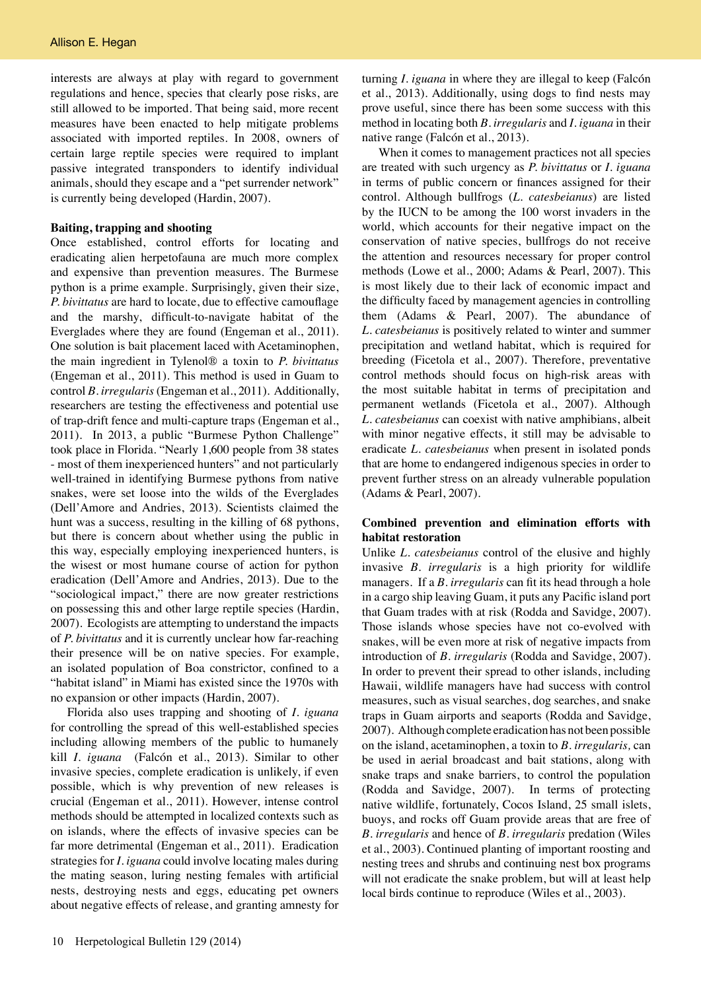interests are always at play with regard to government regulations and hence, species that clearly pose risks, are still allowed to be imported. That being said, more recent measures have been enacted to help mitigate problems associated with imported reptiles. In 2008, owners of certain large reptile species were required to implant passive integrated transponders to identify individual animals, should they escape and a "pet surrender network" is currently being developed (Hardin, 2007).

#### **Baiting, trapping and shooting**

Once established, control efforts for locating and eradicating alien herpetofauna are much more complex and expensive than prevention measures. The Burmese python is a prime example. Surprisingly, given their size, *P. bivittatus* are hard to locate, due to effective camouflage and the marshy, difficult-to-navigate habitat of the Everglades where they are found (Engeman et al., 2011). One solution is bait placement laced with Acetaminophen, the main ingredient in Tylenol® a toxin to *P. bivittatus* (Engeman et al., 2011). This method is used in Guam to control *B. irregularis* (Engeman et al., 2011). Additionally, researchers are testing the effectiveness and potential use of trap-drift fence and multi-capture traps (Engeman et al., 2011). In 2013, a public "Burmese Python Challenge" took place in Florida. "Nearly 1,600 people from 38 states - most of them inexperienced hunters" and not particularly well-trained in identifying Burmese pythons from native snakes, were set loose into the wilds of the Everglades (Dell'Amore and Andries, 2013). Scientists claimed the hunt was a success, resulting in the killing of 68 pythons, but there is concern about whether using the public in this way, especially employing inexperienced hunters, is the wisest or most humane course of action for python eradication (Dell'Amore and Andries, 2013). Due to the "sociological impact," there are now greater restrictions on possessing this and other large reptile species (Hardin, 2007). Ecologists are attempting to understand the impacts of *P. bivittatus* and it is currently unclear how far-reaching their presence will be on native species. For example, an isolated population of Boa constrictor, confined to a "habitat island" in Miami has existed since the 1970s with no expansion or other impacts (Hardin, 2007).

Florida also uses trapping and shooting of *I. iguana* for controlling the spread of this well-established species including allowing members of the public to humanely kill *I. iguana* (Falcón et al., 2013). Similar to other invasive species, complete eradication is unlikely, if even possible, which is why prevention of new releases is crucial (Engeman et al., 2011). However, intense control methods should be attempted in localized contexts such as on islands, where the effects of invasive species can be far more detrimental (Engeman et al., 2011). Eradication strategies for *I. iguana* could involve locating males during the mating season, luring nesting females with artificial nests, destroying nests and eggs, educating pet owners about negative effects of release, and granting amnesty for turning *I. iguana* in where they are illegal to keep (Falcón et al., 2013). Additionally, using dogs to find nests may prove useful, since there has been some success with this method in locating both *B. irregularis* and *I. iguana* in their native range (Falcón et al., 2013).

When it comes to management practices not all species are treated with such urgency as *P. bivittatus* or *I. iguana* in terms of public concern or finances assigned for their control. Although bullfrogs (*L. catesbeianus*) are listed by the IUCN to be among the 100 worst invaders in the world, which accounts for their negative impact on the conservation of native species, bullfrogs do not receive the attention and resources necessary for proper control methods (Lowe et al., 2000; Adams & Pearl, 2007). This is most likely due to their lack of economic impact and the difficulty faced by management agencies in controlling them (Adams & Pearl, 2007). The abundance of *L. catesbeianus* is positively related to winter and summer precipitation and wetland habitat, which is required for breeding (Ficetola et al., 2007). Therefore, preventative control methods should focus on high-risk areas with the most suitable habitat in terms of precipitation and permanent wetlands (Ficetola et al., 2007). Although *L. catesbeianus* can coexist with native amphibians, albeit with minor negative effects, it still may be advisable to eradicate *L. catesbeianus* when present in isolated ponds that are home to endangered indigenous species in order to prevent further stress on an already vulnerable population (Adams & Pearl, 2007).

# **Combined prevention and elimination efforts with habitat restoration**

Unlike *L. catesbeianus* control of the elusive and highly invasive *B. irregularis* is a high priority for wildlife managers. If a *B. irregularis* can fit its head through a hole in a cargo ship leaving Guam, it puts any Pacific island port that Guam trades with at risk (Rodda and Savidge, 2007). Those islands whose species have not co-evolved with snakes, will be even more at risk of negative impacts from introduction of *B. irregularis* (Rodda and Savidge, 2007). In order to prevent their spread to other islands, including Hawaii, wildlife managers have had success with control measures, such as visual searches, dog searches, and snake traps in Guam airports and seaports (Rodda and Savidge, 2007). Although complete eradication has not been possible on the island, acetaminophen, a toxin to *B. irregularis,* can be used in aerial broadcast and bait stations, along with snake traps and snake barriers, to control the population (Rodda and Savidge, 2007). In terms of protecting native wildlife, fortunately, Cocos Island, 25 small islets, buoys, and rocks off Guam provide areas that are free of *B. irregularis* and hence of *B. irregularis* predation (Wiles et al., 2003). Continued planting of important roosting and nesting trees and shrubs and continuing nest box programs will not eradicate the snake problem, but will at least help local birds continue to reproduce (Wiles et al., 2003).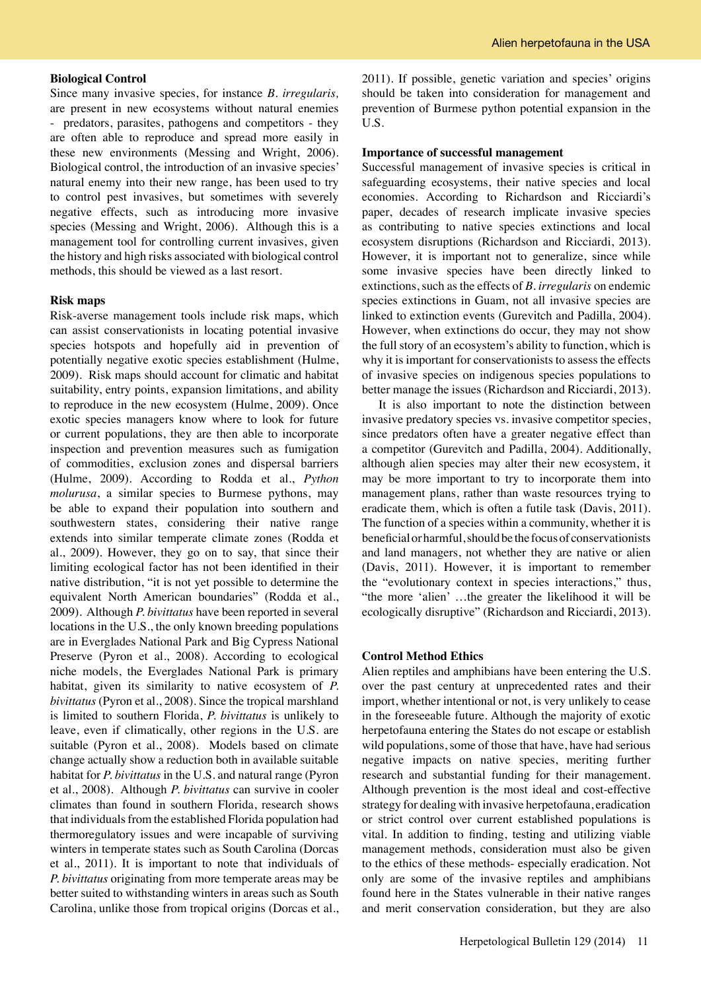#### **Biological Control**

Since many invasive species, for instance *B. irregularis,* are present in new ecosystems without natural enemies - predators, parasites, pathogens and competitors - they are often able to reproduce and spread more easily in these new environments (Messing and Wright, 2006). Biological control, the introduction of an invasive species' natural enemy into their new range, has been used to try to control pest invasives, but sometimes with severely negative effects, such as introducing more invasive species (Messing and Wright, 2006). Although this is a management tool for controlling current invasives, given the history and high risks associated with biological control methods, this should be viewed as a last resort.

# **Risk maps**

Risk-averse management tools include risk maps, which can assist conservationists in locating potential invasive species hotspots and hopefully aid in prevention of potentially negative exotic species establishment (Hulme, 2009). Risk maps should account for climatic and habitat suitability, entry points, expansion limitations, and ability to reproduce in the new ecosystem (Hulme, 2009). Once exotic species managers know where to look for future or current populations, they are then able to incorporate inspection and prevention measures such as fumigation of commodities, exclusion zones and dispersal barriers (Hulme, 2009). According to Rodda et al., *Python molurusa*, a similar species to Burmese pythons, may be able to expand their population into southern and southwestern states, considering their native range extends into similar temperate climate zones (Rodda et al., 2009). However, they go on to say, that since their limiting ecological factor has not been identified in their native distribution, "it is not yet possible to determine the equivalent North American boundaries" (Rodda et al., 2009). Although *P. bivittatus* have been reported in several locations in the U.S., the only known breeding populations are in Everglades National Park and Big Cypress National Preserve (Pyron et al., 2008). According to ecological niche models, the Everglades National Park is primary habitat, given its similarity to native ecosystem of *P. bivittatus* (Pyron et al., 2008). Since the tropical marshland is limited to southern Florida, *P. bivittatus* is unlikely to leave, even if climatically, other regions in the U.S. are suitable (Pyron et al., 2008). Models based on climate change actually show a reduction both in available suitable habitat for *P. bivittatus* in the U.S. and natural range (Pyron et al., 2008). Although *P. bivittatus* can survive in cooler climates than found in southern Florida, research shows that individuals from the established Florida population had thermoregulatory issues and were incapable of surviving winters in temperate states such as South Carolina (Dorcas et al., 2011). It is important to note that individuals of *P. bivittatus* originating from more temperate areas may be better suited to withstanding winters in areas such as South Carolina, unlike those from tropical origins (Dorcas et al., 2011). If possible, genetic variation and species' origins should be taken into consideration for management and prevention of Burmese python potential expansion in the U.S.

#### **Importance of successful management**

Successful management of invasive species is critical in safeguarding ecosystems, their native species and local economies. According to Richardson and Ricciardi's paper, decades of research implicate invasive species as contributing to native species extinctions and local ecosystem disruptions (Richardson and Ricciardi, 2013). However, it is important not to generalize, since while some invasive species have been directly linked to extinctions, such as the effects of *B. irregularis* on endemic species extinctions in Guam, not all invasive species are linked to extinction events (Gurevitch and Padilla, 2004). However, when extinctions do occur, they may not show the full story of an ecosystem's ability to function, which is why it is important for conservationists to assess the effects of invasive species on indigenous species populations to better manage the issues (Richardson and Ricciardi, 2013).

It is also important to note the distinction between invasive predatory species vs. invasive competitor species, since predators often have a greater negative effect than a competitor (Gurevitch and Padilla, 2004). Additionally, although alien species may alter their new ecosystem, it may be more important to try to incorporate them into management plans, rather than waste resources trying to eradicate them, which is often a futile task (Davis, 2011). The function of a species within a community, whether it is beneficial or harmful, should be the focus of conservationists and land managers, not whether they are native or alien (Davis, 2011). However, it is important to remember the "evolutionary context in species interactions," thus, "the more 'alien' …the greater the likelihood it will be ecologically disruptive" (Richardson and Ricciardi, 2013).

# **Control Method Ethics**

Alien reptiles and amphibians have been entering the U.S. over the past century at unprecedented rates and their import, whether intentional or not, is very unlikely to cease in the foreseeable future. Although the majority of exotic herpetofauna entering the States do not escape or establish wild populations, some of those that have, have had serious negative impacts on native species, meriting further research and substantial funding for their management. Although prevention is the most ideal and cost-effective strategy for dealing with invasive herpetofauna, eradication or strict control over current established populations is vital. In addition to finding, testing and utilizing viable management methods, consideration must also be given to the ethics of these methods- especially eradication. Not only are some of the invasive reptiles and amphibians found here in the States vulnerable in their native ranges and merit conservation consideration, but they are also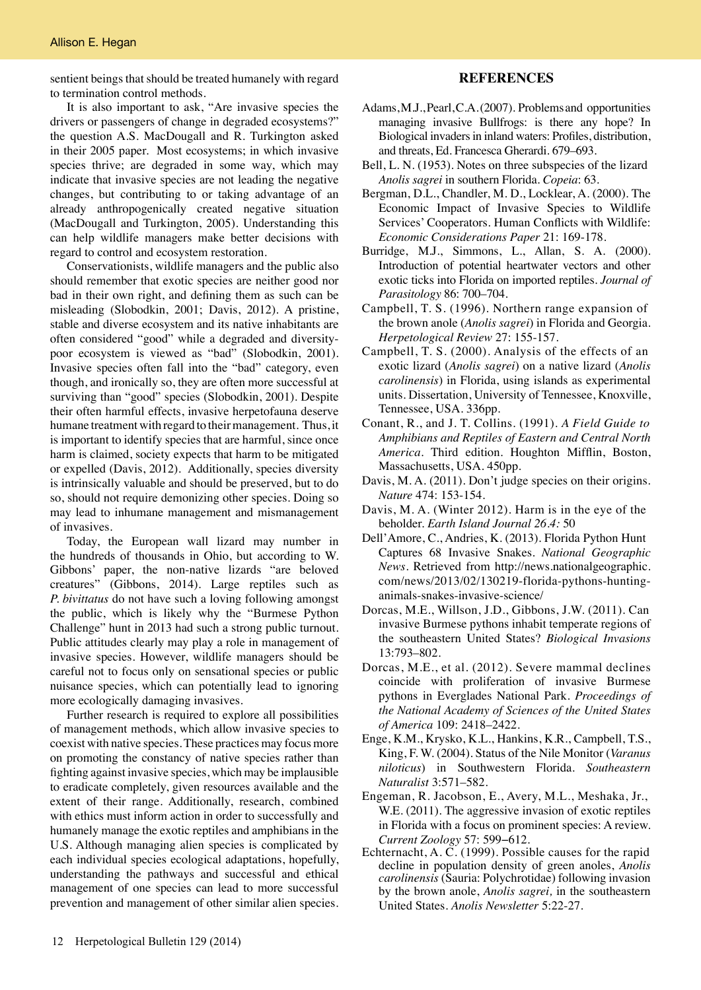sentient beings that should be treated humanely with regard to termination control methods.

It is also important to ask, "Are invasive species the drivers or passengers of change in degraded ecosystems?" the question A.S. MacDougall and R. Turkington asked in their 2005 paper. Most ecosystems; in which invasive species thrive; are degraded in some way, which may indicate that invasive species are not leading the negative changes, but contributing to or taking advantage of an already anthropogenically created negative situation (MacDougall and Turkington, 2005). Understanding this can help wildlife managers make better decisions with regard to control and ecosystem restoration.

Conservationists, wildlife managers and the public also should remember that exotic species are neither good nor bad in their own right, and defining them as such can be misleading (Slobodkin, 2001; Davis, 2012). A pristine, stable and diverse ecosystem and its native inhabitants are often considered "good" while a degraded and diversitypoor ecosystem is viewed as "bad" (Slobodkin, 2001). Invasive species often fall into the "bad" category, even though, and ironically so, they are often more successful at surviving than "good" species (Slobodkin, 2001). Despite their often harmful effects, invasive herpetofauna deserve humane treatment with regard to their management. Thus, it is important to identify species that are harmful, since once harm is claimed, society expects that harm to be mitigated or expelled (Davis, 2012). Additionally, species diversity is intrinsically valuable and should be preserved, but to do so, should not require demonizing other species. Doing so may lead to inhumane management and mismanagement of invasives.

Today, the European wall lizard may number in the hundreds of thousands in Ohio, but according to W. Gibbons' paper, the non-native lizards "are beloved creatures" (Gibbons, 2014). Large reptiles such as *P. bivittatus* do not have such a loving following amongst the public, which is likely why the "Burmese Python Challenge" hunt in 2013 had such a strong public turnout. Public attitudes clearly may play a role in management of invasive species. However, wildlife managers should be careful not to focus only on sensational species or public nuisance species, which can potentially lead to ignoring more ecologically damaging invasives.

Further research is required to explore all possibilities of management methods, which allow invasive species to coexist with native species. These practices may focus more on promoting the constancy of native species rather than fighting against invasive species, which may be implausible to eradicate completely, given resources available and the extent of their range. Additionally, research, combined with ethics must inform action in order to successfully and humanely manage the exotic reptiles and amphibians in the U.S. Although managing alien species is complicated by each individual species ecological adaptations, hopefully, understanding the pathways and successful and ethical management of one species can lead to more successful prevention and management of other similar alien species.

# **REFERENCES**

- Adams, M.J., Pearl, C.A. (2007). Problems and opportunities managing invasive Bullfrogs: is there any hope? In Biological invaders in inland waters: Profiles, distribution, and threats, Ed. Francesca Gherardi. 679–693.
- Bell, L. N. (1953). Notes on three subspecies of the lizard *Anolis sagrei* in southern Florida. *Copeia*: 63.
- Bergman, D.L., Chandler, M. D., Locklear, A. (2000). The Economic Impact of Invasive Species to Wildlife Services' Cooperators. Human Conflicts with Wildlife: *Economic Considerations Paper* 21: 169-178.
- Burridge, M.J., Simmons, L., Allan, S. A. (2000). Introduction of potential heartwater vectors and other exotic ticks into Florida on imported reptiles. *Journal of Parasitology* 86: 700–704.
- Campbell, T. S. (1996). Northern range expansion of the brown anole (*Anolis sagrei*) in Florida and Georgia. *Herpetological Review* 27: 155-157.
- Campbell, T. S. (2000). Analysis of the effects of an exotic lizard (*Anolis sagrei*) on a native lizard (*Anolis carolinensis*) in Florida, using islands as experimental units. Dissertation, University of Tennessee, Knoxville, Tennessee, USA. 336pp.
- Conant, R., and J. T. Collins. (1991). *A Field Guide to Amphibians and Reptiles of Eastern and Central North America*. Third edition. Houghton Mifflin, Boston, Massachusetts, USA. 450pp.
- Davis, M. A. (2011). Don't judge species on their origins. *Nature* 474: 153-154.
- Davis, M. A. (Winter 2012). Harm is in the eye of the beholder. *Earth Island Journal 26.4:* 50
- Dell'Amore, C., Andries, K. (2013). Florida Python Hunt Captures 68 Invasive Snakes. *National Geographic News*. Retrieved from http://news.nationalgeographic. com/news/2013/02/130219-florida-pythons-huntinganimals-snakes-invasive-science/
- Dorcas, M.E., Willson, J.D., Gibbons, J.W. (2011). Can invasive Burmese pythons inhabit temperate regions of the southeastern United States? *Biological Invasions* 13:793–802.
- Dorcas, M.E., et al. (2012). Severe mammal declines coincide with proliferation of invasive Burmese pythons in Everglades National Park. *Proceedings of the National Academy of Sciences of the United States of America* 109: 2418–2422.
- Enge, K.M., Krysko, K.L., Hankins, K.R., Campbell, T.S., King, F. W. (2004). Status of the Nile Monitor (*Varanus niloticus*) in Southwestern Florida. *Southeastern Naturalist* 3:571–582.
- Engeman, R. Jacobson, E., Avery, M.L., Meshaka, Jr., W.E. (2011). The aggressive invasion of exotic reptiles in Florida with a focus on prominent species: A review. *Current Zoology* 57: 599−612.
- Echternacht, A. C. (1999). Possible causes for the rapid decline in population density of green anoles, *Anolis carolinensis* (Sauria: Polychrotidae) following invasion by the brown anole, *Anolis sagrei,* in the southeastern United States. *Anolis Newsletter* 5:22-27.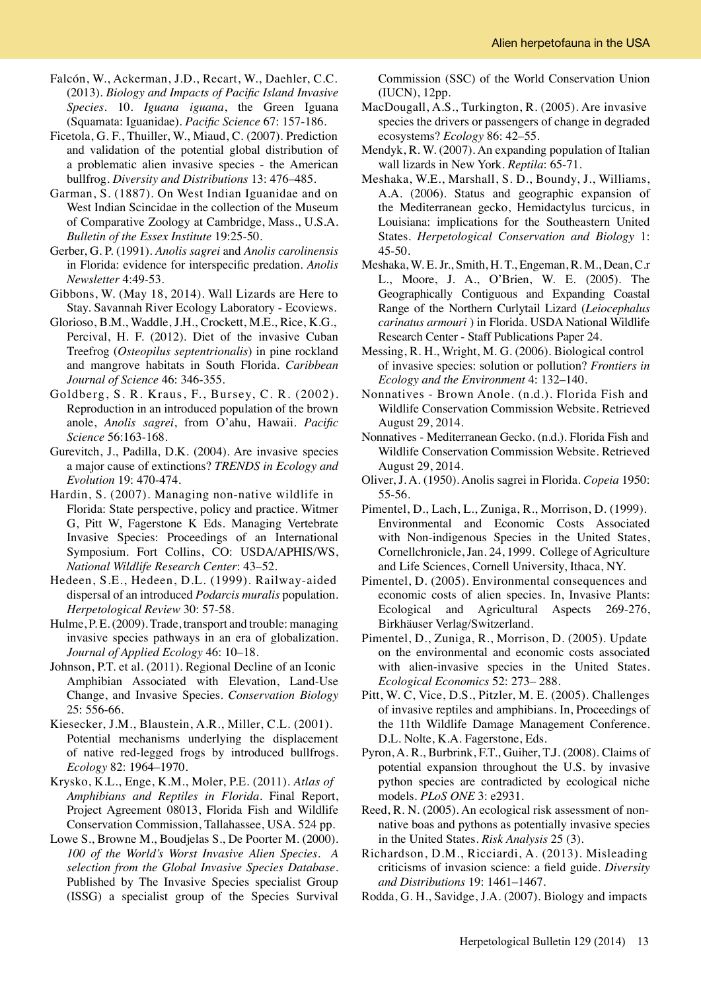- Falcón, W., Ackerman, J.D., Recart, W., Daehler, C.C. (2013). *Biology and Impacts of Pacific Island Invasive Species.* 10. *Iguana iguana*, the Green Iguana (Squamata: Iguanidae). *Pacific Science* 67: 157-186.
- Ficetola, G. F., Thuiller, W., Miaud, C. (2007). Prediction and validation of the potential global distribution of a problematic alien invasive species - the American bullfrog. *Diversity and Distributions* 13: 476–485.
- Garman, S. (1887). On West Indian Iguanidae and on West Indian Scincidae in the collection of the Museum of Comparative Zoology at Cambridge, Mass., U.S.A. *Bulletin of the Essex Institute* 19:25-50.
- Gerber, G. P. (1991). *Anolis sagrei* and *Anolis carolinensis* in Florida: evidence for interspecific predation. *Anolis Newsletter* 4:49-53.
- Gibbons, W. (May 18, 2014). Wall Lizards are Here to Stay. Savannah River Ecology Laboratory - Ecoviews.
- Glorioso, B.M., Waddle, J.H., Crockett, M.E., Rice, K.G., Percival, H. F. (2012). Diet of the invasive Cuban Treefrog (*Osteopilus septentrionalis*) in pine rockland and mangrove habitats in South Florida. *Caribbean Journal of Science* 46: 346-355.
- Goldberg, S. R. Kraus, F., Bursey, C. R. (2002). Reproduction in an introduced population of the brown anole, *Anolis sagrei*, from O'ahu, Hawaii. *Pacific Science* 56:163-168.
- Gurevitch, J., Padilla, D.K. (2004). Are invasive species a major cause of extinctions? *TRENDS in Ecology and Evolution* 19: 470-474.
- Hardin, S. (2007). Managing non-native wildlife in Florida: State perspective, policy and practice. Witmer G, Pitt W, Fagerstone K Eds. Managing Vertebrate Invasive Species: Proceedings of an International Symposium. Fort Collins, CO: USDA/APHIS/WS, *National Wildlife Research Center*: 43–52.
- Hedeen, S.E., Hedeen, D.L. (1999). Railway-aided dispersal of an introduced *Podarcis muralis* population. *Herpetological Review* 30: 57-58.
- Hulme, P. E. (2009). Trade, transport and trouble: managing invasive species pathways in an era of globalization. *Journal of Applied Ecology* 46: 10–18.
- Johnson, P.T. et al. (2011). Regional Decline of an Iconic Amphibian Associated with Elevation, Land-Use Change, and Invasive Species. *Conservation Biology* 25: 556-66.
- Kiesecker, J.M., Blaustein, A.R., Miller, C.L. (2001). Potential mechanisms underlying the displacement of native red-legged frogs by introduced bullfrogs. *Ecology* 82: 1964–1970.
- Krysko, K.L., Enge, K.M., Moler, P.E. (2011). *Atlas of Amphibians and Reptiles in Florida*. Final Report, Project Agreement 08013, Florida Fish and Wildlife Conservation Commission, Tallahassee, USA. 524 pp.
- Lowe S., Browne M., Boudjelas S., De Poorter M. (2000). *100 of the World's Worst Invasive Alien Species. A selection from the Global Invasive Species Database*. Published by The Invasive Species specialist Group (ISSG) a specialist group of the Species Survival

Commission (SSC) of the World Conservation Union (IUCN), 12pp.

- MacDougall, A.S., Turkington, R. (2005). Are invasive species the drivers or passengers of change in degraded ecosystems? *Ecology* 86: 42–55.
- Mendyk, R. W. (2007). An expanding population of Italian wall lizards in New York. *Reptila*: 65-71.
- Meshaka, W.E., Marshall, S. D., Boundy, J., Williams, A.A. (2006). Status and geographic expansion of the Mediterranean gecko, Hemidactylus turcicus, in Louisiana: implications for the Southeastern United States. *Herpetological Conservation and Biology* 1: 45-50.
- Meshaka, W. E. Jr., Smith, H. T., Engeman, R. M., Dean, C.r L., Moore, J. A., O'Brien, W. E. (2005). The Geographically Contiguous and Expanding Coastal Range of the Northern Curlytail Lizard (*Leiocephalus carinatus armouri* ) in Florida. USDA National Wildlife Research Center - Staff Publications Paper 24.
- Messing, R. H., Wright, M. G. (2006). Biological control of invasive species: solution or pollution? *Frontiers in Ecology and the Environment* 4: 132–140.
- Nonnatives Brown Anole. (n.d.). Florida Fish and Wildlife Conservation Commission Website. Retrieved August 29, 2014.
- Nonnatives Mediterranean Gecko. (n.d.). Florida Fish and Wildlife Conservation Commission Website. Retrieved August 29, 2014.
- Oliver, J. A. (1950). Anolis sagrei in Florida. *Copeia* 1950: 55-56.
- Pimentel, D., Lach, L., Zuniga, R., Morrison, D. (1999). Environmental and Economic Costs Associated with Non-indigenous Species in the United States, Cornellchronicle, Jan. 24, 1999. College of Agriculture and Life Sciences, Cornell University, Ithaca, NY.
- Pimentel, D. (2005). Environmental consequences and economic costs of alien species. In, Invasive Plants: Ecological and Agricultural Aspects 269-276, Birkhäuser Verlag/Switzerland.
- Pimentel, D., Zuniga, R., Morrison, D. (2005). Update on the environmental and economic costs associated with alien-invasive species in the United States. *Ecological Economics* 52: 273– 288.
- Pitt, W. C, Vice, D.S., Pitzler, M. E. (2005). Challenges of invasive reptiles and amphibians. In, Proceedings of the 11th Wildlife Damage Management Conference. D.L. Nolte, K.A. Fagerstone, Eds.
- Pyron, A. R., Burbrink, F.T., Guiher, T.J. (2008). Claims of potential expansion throughout the U.S. by invasive python species are contradicted by ecological niche models. *PLoS ONE* 3: e2931.
- Reed, R. N. (2005). An ecological risk assessment of non native boas and pythons as potentially invasive species in the United States. *Risk Analysis* 25 (3).
- Richardson, D.M., Ricciardi, A. (2013). Misleading criticisms of invasion science: a field guide. *Diversity and Distributions* 19: 1461–1467.
- Rodda, G. H., Savidge, J.A. (2007). Biology and impacts